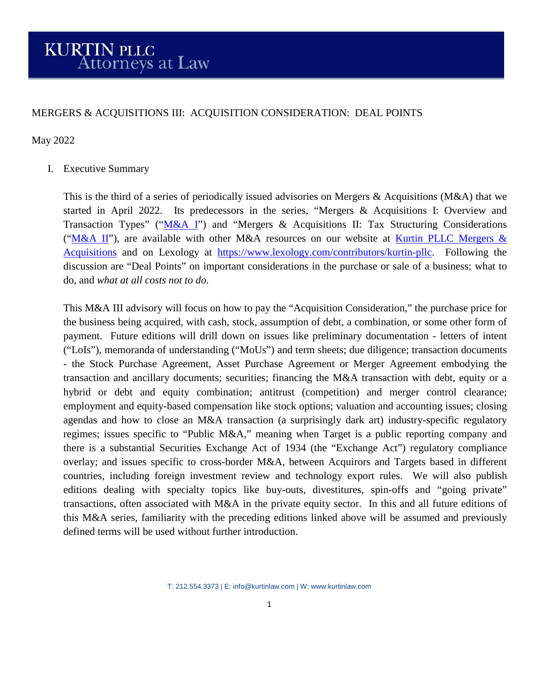# MERGERS & ACQUISITIONS III: ACQUISITION CONSIDERATION: DEAL POINTS

### May 2022

# I. Executive Summary

This is the third of a series of periodically issued advisories on Mergers & Acquisitions (M&A) that we started in April 2022. Its predecessors in the series, "Mergers & Acquisitions I: Overview and Transaction Types" (["M&A I"](https://kurtinlaw.com/wp-content/uploads/2022/04/Mergers-and-Acquisitions-I-04.2022.pdf)) and "Mergers & Acquisitions II: Tax Structuring Considerations (["M&A II"](https://kurtinlaw.com/wp-content/uploads/2022/05/Mergers-and-Acquisitions-II-05.2022.pdf)), are available with other M&A resources on our website at Kurtin PLLC Mergers & [Acquisitions](https://kurtinlaw.com/practice-areas/mergers-acquisitions/) and on Lexology at [https://www.lexology.com/contributors/kurtin-pllc.](https://www.lexology.com/contributors/kurtin-pllc) Following the discussion are "Deal Points" on important considerations in the purchase or sale of a business: what to do, and *what at all costs not to do*.

This M&A III advisory will focus on how to pay the "Acquisition Consideration," the purchase price for the business being acquired, with cash, stock, assumption of debt, a combination, or some other form of payment. Future editions will drill down on issues like preliminary documentation - letters of intent ("LoIs"), memoranda of understanding ("MoUs") and term sheets; due diligence; transaction documents - the Stock Purchase Agreement, Asset Purchase Agreement or Merger Agreement embodying the transaction and ancillary documents; securities; financing the M&A transaction with debt, equity or a hybrid or debt and equity combination; antitrust (competition) and merger control clearance; employment and equity-based compensation like stock options; valuation and accounting issues; closing agendas and how to close an M&A transaction (a surprisingly dark art) industry-specific regulatory regimes; issues specific to "Public M&A," meaning when Target is a public reporting company and there is a substantial Securities Exchange Act of 1934 (the "Exchange Act") regulatory compliance overlay; and issues specific to cross-border M&A, between Acquirors and Targets based in different countries, including foreign investment review and technology export rules. We will also publish editions dealing with specialty topics like buy-outs, divestitures, spin-offs and "going private" transactions, often associated with M&A in the private equity sector. In this and all future editions of this M&A series, familiarity with the preceding editions linked above will be assumed and previously defined terms will be used without further introduction.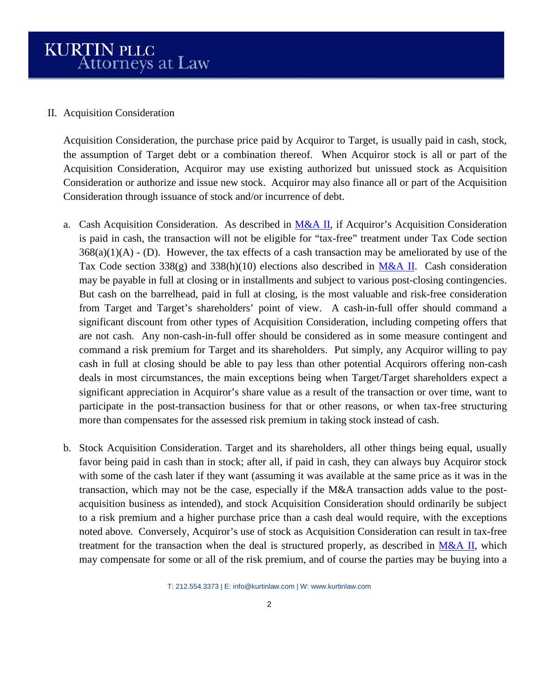#### II. Acquisition Consideration

Acquisition Consideration, the purchase price paid by Acquiror to Target, is usually paid in cash, stock, the assumption of Target debt or a combination thereof. When Acquiror stock is all or part of the Acquisition Consideration, Acquiror may use existing authorized but unissued stock as Acquisition Consideration or authorize and issue new stock. Acquiror may also finance all or part of the Acquisition Consideration through issuance of stock and/or incurrence of debt.

- a. Cash Acquisition Consideration. As described in [M&A II,](https://kurtinlaw.com/wp-content/uploads/2022/05/Mergers-and-Acquisitions-II-05.2022.pdf) if Acquiror's Acquisition Consideration is paid in cash, the transaction will not be eligible for "tax-free" treatment under Tax Code section  $368(a)(1)(A)$  - (D). However, the tax effects of a cash transaction may be ameliorated by use of the Tax Code section 338(g) and 338(h)(10) elections also described in [M&A II.](https://kurtinlaw.com/wp-content/uploads/2022/05/Mergers-and-Acquisitions-II-05.2022.pdf) Cash consideration may be payable in full at closing or in installments and subject to various post-closing contingencies. But cash on the barrelhead, paid in full at closing, is the most valuable and risk-free consideration from Target and Target's shareholders' point of view. A cash-in-full offer should command a significant discount from other types of Acquisition Consideration, including competing offers that are not cash. Any non-cash-in-full offer should be considered as in some measure contingent and command a risk premium for Target and its shareholders. Put simply, any Acquiror willing to pay cash in full at closing should be able to pay less than other potential Acquirors offering non-cash deals in most circumstances, the main exceptions being when Target/Target shareholders expect a significant appreciation in Acquiror's share value as a result of the transaction or over time, want to participate in the post-transaction business for that or other reasons, or when tax-free structuring more than compensates for the assessed risk premium in taking stock instead of cash.
- b. Stock Acquisition Consideration. Target and its shareholders, all other things being equal, usually favor being paid in cash than in stock; after all, if paid in cash, they can always buy Acquiror stock with some of the cash later if they want (assuming it was available at the same price as it was in the transaction, which may not be the case, especially if the M&A transaction adds value to the postacquisition business as intended), and stock Acquisition Consideration should ordinarily be subject to a risk premium and a higher purchase price than a cash deal would require, with the exceptions noted above. Conversely, Acquiror's use of stock as Acquisition Consideration can result in tax-free treatment for the transaction when the deal is structured properly, as described in  $M&A II$ , which may compensate for some or all of the risk premium, and of course the parties may be buying into a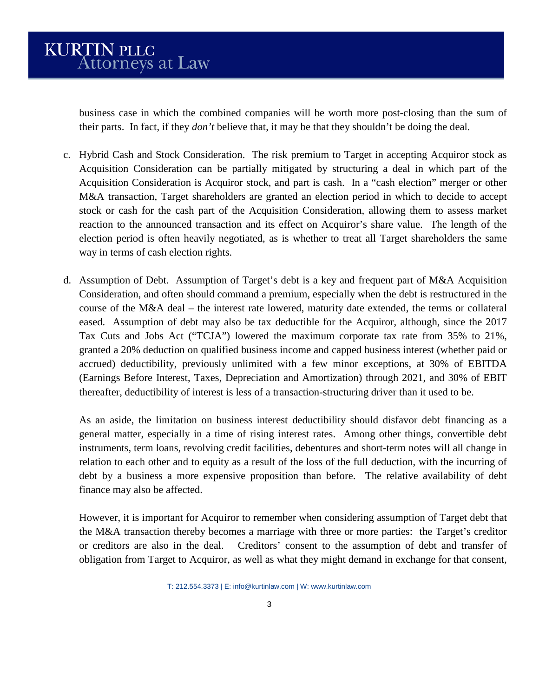business case in which the combined companies will be worth more post-closing than the sum of their parts. In fact, if they *don't* believe that, it may be that they shouldn't be doing the deal.

- c. Hybrid Cash and Stock Consideration. The risk premium to Target in accepting Acquiror stock as Acquisition Consideration can be partially mitigated by structuring a deal in which part of the Acquisition Consideration is Acquiror stock, and part is cash. In a "cash election" merger or other M&A transaction, Target shareholders are granted an election period in which to decide to accept stock or cash for the cash part of the Acquisition Consideration, allowing them to assess market reaction to the announced transaction and its effect on Acquiror's share value. The length of the election period is often heavily negotiated, as is whether to treat all Target shareholders the same way in terms of cash election rights.
- d. Assumption of Debt. Assumption of Target's debt is a key and frequent part of M&A Acquisition Consideration, and often should command a premium, especially when the debt is restructured in the course of the M&A deal – the interest rate lowered, maturity date extended, the terms or collateral eased. Assumption of debt may also be tax deductible for the Acquiror, although, since the 2017 Tax Cuts and Jobs Act ("TCJA") lowered the maximum corporate tax rate from 35% to 21%, granted a 20% deduction on qualified business income and capped business interest (whether paid or accrued) deductibility, previously unlimited with a few minor exceptions, at 30% of EBITDA (Earnings Before Interest, Taxes, Depreciation and Amortization) through 2021, and 30% of EBIT thereafter, deductibility of interest is less of a transaction-structuring driver than it used to be.

As an aside, the limitation on business interest deductibility should disfavor debt financing as a general matter, especially in a time of rising interest rates. Among other things, convertible debt instruments, term loans, revolving credit facilities, debentures and short-term notes will all change in relation to each other and to equity as a result of the loss of the full deduction, with the incurring of debt by a business a more expensive proposition than before. The relative availability of debt finance may also be affected.

However, it is important for Acquiror to remember when considering assumption of Target debt that the M&A transaction thereby becomes a marriage with three or more parties: the Target's creditor or creditors are also in the deal. Creditors' consent to the assumption of debt and transfer of obligation from Target to Acquiror, as well as what they might demand in exchange for that consent,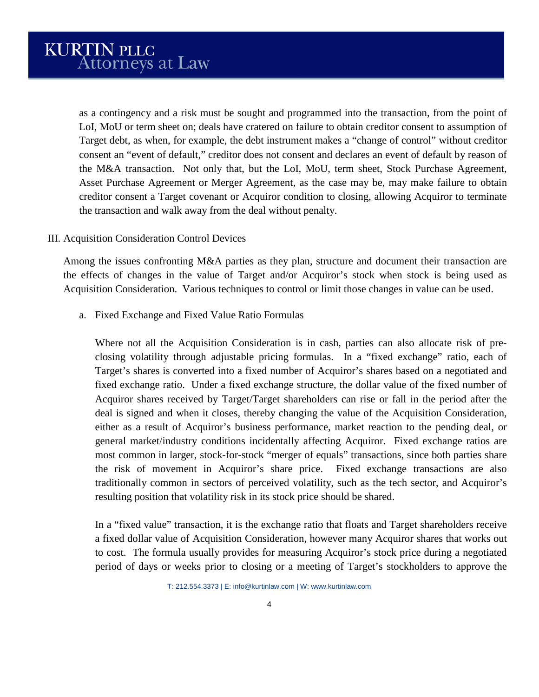as a contingency and a risk must be sought and programmed into the transaction, from the point of LoI, MoU or term sheet on; deals have cratered on failure to obtain creditor consent to assumption of Target debt, as when, for example, the debt instrument makes a "change of control" without creditor consent an "event of default," creditor does not consent and declares an event of default by reason of the M&A transaction. Not only that, but the LoI, MoU, term sheet, Stock Purchase Agreement, Asset Purchase Agreement or Merger Agreement, as the case may be, may make failure to obtain creditor consent a Target covenant or Acquiror condition to closing, allowing Acquiror to terminate the transaction and walk away from the deal without penalty.

# III. Acquisition Consideration Control Devices

Among the issues confronting M&A parties as they plan, structure and document their transaction are the effects of changes in the value of Target and/or Acquiror's stock when stock is being used as Acquisition Consideration. Various techniques to control or limit those changes in value can be used.

a. Fixed Exchange and Fixed Value Ratio Formulas

Where not all the Acquisition Consideration is in cash, parties can also allocate risk of preclosing volatility through adjustable pricing formulas. In a "fixed exchange" ratio, each of Target's shares is converted into a fixed number of Acquiror's shares based on a negotiated and fixed exchange ratio. Under a fixed exchange structure, the dollar value of the fixed number of Acquiror shares received by Target/Target shareholders can rise or fall in the period after the deal is signed and when it closes, thereby changing the value of the Acquisition Consideration, either as a result of Acquiror's business performance, market reaction to the pending deal, or general market/industry conditions incidentally affecting Acquiror. Fixed exchange ratios are most common in larger, stock-for-stock "merger of equals" transactions, since both parties share the risk of movement in Acquiror's share price. Fixed exchange transactions are also traditionally common in sectors of perceived volatility, such as the tech sector, and Acquiror's resulting position that volatility risk in its stock price should be shared.

In a "fixed value" transaction, it is the exchange ratio that floats and Target shareholders receive a fixed dollar value of Acquisition Consideration, however many Acquiror shares that works out to cost. The formula usually provides for measuring Acquiror's stock price during a negotiated period of days or weeks prior to closing or a meeting of Target's stockholders to approve the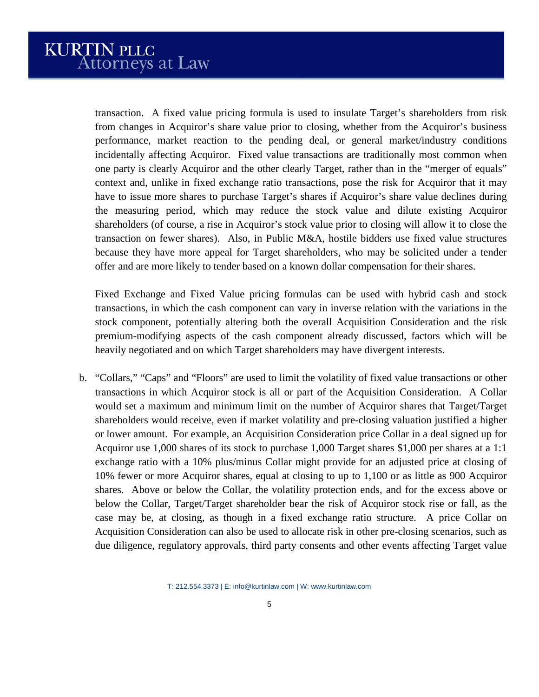transaction. A fixed value pricing formula is used to insulate Target's shareholders from risk from changes in Acquiror's share value prior to closing, whether from the Acquiror's business performance, market reaction to the pending deal, or general market/industry conditions incidentally affecting Acquiror. Fixed value transactions are traditionally most common when one party is clearly Acquiror and the other clearly Target, rather than in the "merger of equals" context and, unlike in fixed exchange ratio transactions, pose the risk for Acquiror that it may have to issue more shares to purchase Target's shares if Acquiror's share value declines during the measuring period, which may reduce the stock value and dilute existing Acquiror shareholders (of course, a rise in Acquiror's stock value prior to closing will allow it to close the transaction on fewer shares). Also, in Public M&A, hostile bidders use fixed value structures because they have more appeal for Target shareholders, who may be solicited under a tender offer and are more likely to tender based on a known dollar compensation for their shares.

Fixed Exchange and Fixed Value pricing formulas can be used with hybrid cash and stock transactions, in which the cash component can vary in inverse relation with the variations in the stock component, potentially altering both the overall Acquisition Consideration and the risk premium-modifying aspects of the cash component already discussed, factors which will be heavily negotiated and on which Target shareholders may have divergent interests.

b. "Collars," "Caps" and "Floors" are used to limit the volatility of fixed value transactions or other transactions in which Acquiror stock is all or part of the Acquisition Consideration. A Collar would set a maximum and minimum limit on the number of Acquiror shares that Target/Target shareholders would receive, even if market volatility and pre-closing valuation justified a higher or lower amount. For example, an Acquisition Consideration price Collar in a deal signed up for Acquiror use 1,000 shares of its stock to purchase 1,000 Target shares \$1,000 per shares at a 1:1 exchange ratio with a 10% plus/minus Collar might provide for an adjusted price at closing of 10% fewer or more Acquiror shares, equal at closing to up to 1,100 or as little as 900 Acquiror shares. Above or below the Collar, the volatility protection ends, and for the excess above or below the Collar, Target/Target shareholder bear the risk of Acquiror stock rise or fall, as the case may be, at closing, as though in a fixed exchange ratio structure. A price Collar on Acquisition Consideration can also be used to allocate risk in other pre-closing scenarios, such as due diligence, regulatory approvals, third party consents and other events affecting Target value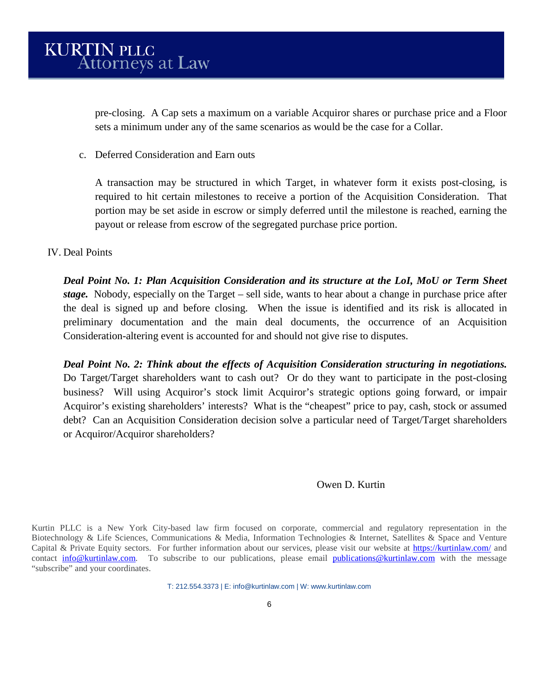pre-closing. A Cap sets a maximum on a variable Acquiror shares or purchase price and a Floor sets a minimum under any of the same scenarios as would be the case for a Collar.

c. Deferred Consideration and Earn outs

A transaction may be structured in which Target, in whatever form it exists post-closing, is required to hit certain milestones to receive a portion of the Acquisition Consideration. That portion may be set aside in escrow or simply deferred until the milestone is reached, earning the payout or release from escrow of the segregated purchase price portion.

# IV. Deal Points

*Deal Point No. 1: Plan Acquisition Consideration and its structure at the LoI, MoU or Term Sheet stage.* Nobody, especially on the Target – sell side, wants to hear about a change in purchase price after the deal is signed up and before closing. When the issue is identified and its risk is allocated in preliminary documentation and the main deal documents, the occurrence of an Acquisition Consideration-altering event is accounted for and should not give rise to disputes.

*Deal Point No. 2: Think about the effects of Acquisition Consideration structuring in negotiations.* Do Target/Target shareholders want to cash out? Or do they want to participate in the post-closing business? Will using Acquiror's stock limit Acquiror's strategic options going forward, or impair Acquiror's existing shareholders' interests? What is the "cheapest" price to pay, cash, stock or assumed debt? Can an Acquisition Consideration decision solve a particular need of Target/Target shareholders or Acquiror/Acquiror shareholders?

# Owen D. Kurtin

Kurtin PLLC is a New York City-based law firm focused on corporate, commercial and regulatory representation in the Biotechnology & Life Sciences, Communications & Media, Information Technologies & Internet, Satellites & Space and Venture Capital & Private Equity sectors. For further information about our services, please visit our website at<https://kurtinlaw.com/> and contact [info@kurtinlaw.com.](mailto:info@kurtinlaw.com) To subscribe to our publications, please email [publications@kurtinlaw.com](mailto:publications@kurtinlaw.com) with the message "subscribe" and your coordinates.